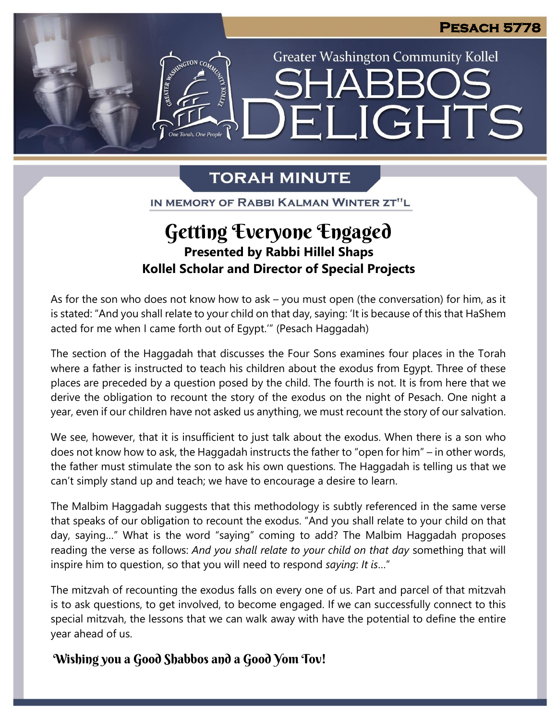**Greater Washington Community Kollel** 

LIGHTS

# **TORAH MINUTE**

e<br> Torah. One Peopl

 $\exists$   $\bot$ 

IN MEMORY OF RABBI KALMAN WINTER ZT"L

### y **Presented by Rabbi Hillel Shaps Kollel Scholar and Director of Special Projects** Getting Everyone Engaged

As for the son who does not know how to ask – you must open (the conversation) for him, as it is stated: "And you shall relate to your child on that day, saying: 'It is because of this that HaShem acted for me when I came forth out of Egypt.'" (Pesach Haggadah)

The section of the Haggadah that discusses the Four Sons examines four places in the Torah **pre** where a father is instructed to teach his children about the exodus from Egypt. Three of these places are preceded by a question posed by the child. The fourth is not. It is from here that we<br>derive the obligation to recount the story of the exodus on the night of Pesach. One night a derive the obligation to recount the story of the exodus on the night of Pesach. One night a year, even if our children have not asked us anything, we must recount the story of our salvation.

We see, however, that it is insufficient to just talk about the exodus. When there is a son who does not know how to ask, the Haggadah instructs the father to "open for him" – in other words, the father must stimulate the son to ask his own questions. The Haggadah is telling us that we can't simply stand up and teach; we have to encourage a desire to learn.

The Malbim Haggadah suggests that this methodology is subtly referenced in the same verse that speaks of our obligation to recount the exodus. "And you shall relate to your child on that day, saying…" What is the word "saying" coming to add? The Malbim Haggadah proposes reading the verse as follows: *And you shall relate to your child on that day* something that will inspire him to question, so that you will need to respond *saying*: *It is*…"

The mitzvah of recounting the exodus falls on every one of us. Part and parcel of that mitzvah is to ask questions, to get involved, to become engaged. If we can successfully connect to this special mitzvah, the lessons that we can walk away with have the potential to define the entire year ahead of us.

Wishing you a Good Shabbos and a Good Yom Tov!